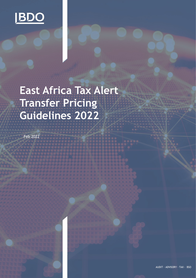

# **East Africa Tax Alert Transfer Pricing Guidelines 2022**

Feb 2022

AUDIT ∙ ADVISORY ∙ TAX ∙ BSO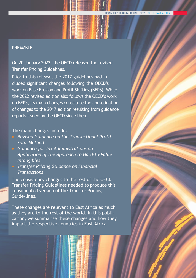#### PREAMBLE

On 20 January 2022, the OECD released the revised Transfer Pricing Guidelines.

Prior to this release, the 2017 guidelines had included significant changes following the OECD's work on Base Erosion and Profit Shifting (BEPS). While the 2022 revised edition also follows the OECD's work on BEPS, its main changes constitute the consolidation of changes to the 2017 edition resulting from guidance reports issued by the OECD since then.

#### The main changes include:

- *Revised Guidance on the Transactional Profit Split Method*
- *Guidance for Tax Administrations on Application of the Approach to Hard-to-Value Intangibles*
- *Transfer Pricing Guidance on Financial Transactions*

The consistency changes to the rest of the OECD Transfer Pricing Guidelines needed to produce this consolidated version of the Transfer Pricing Guide-lines.

These changes are relevant to East Africa as much as they are to the rest of the world. In this publication, we summarise these changes and how they impact the respective countries in East Africa.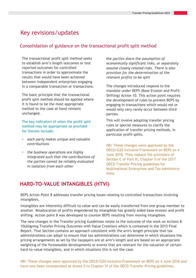## Key revisions/updates

#### Consolidation of guidance on the transactional profit split method

The transactional profit split method seeks to establish arm's length outcomes or test reported outcomes for controlled transactions in order to approximate the results that would have been achieved between independent enterprises engaging in a comparable transaction or transactions.

The basic principle that the transactional profit split method should be applied where it is found to be the most appropriate method to the case at hand remains unchanged.

The key indicators of when the profit split method may be appropriate as provided for therein include:

- *each party makes unique and valuable contributions*
- *the business operations are highly integrated such that the contributions of the parties cannot be reliably evaluated in isolation from each other*

*the parties share* • *the assumption of economically significant risks, or separately assume closely related risks. There is also provision for the determination of the relevant profits to be split*

The changes introduced respond to the mandate under BEPS (Base Erosion and Profit Shifting) Action 10. This action point requires the development of rules to prevent BEPS by engaging in transactions which would not or would only very rarely occur between third parties.

This will involve adopting transfer pricing rules or special measures to clarify the application of transfer pricing methods, in particular profit splits.

NB/ These changes were approved by the OECD/G20 Inclusive Framework on BEPS on 4 June 2018. They replace the provisions of Section C of Part III, Chapter II of the 2017 OECD Transfer Pricing guidelines for Multinational Enterprises and Tax Administrations

## **HARD-TO-VALUE INTANGIBLES (HTVI)**

BEPS Action Point 8 addresses transfer pricing issues relating to controlled transactions involving intangibles.

Intangibles are inherently difficult to value and can be easily transferred from one group member to another. Misallocation of profits engendered by intangibles has greatly aided base erosion and profit shifting. Action point 8 was developed to counter BEPS resulting from moving intangibles

The new changes in the Transfer pricing Guidelines relate to the outcome of the work on Actions 8- 10(Aligning Transfer Pricing Outcomes with Value Creation) which is contained in the 2015 Final Report. That Section contains an approach consistent with the arm's length principle that tax administrations can adopt to ensure that tax administrations can determine in which situations the pricing arrangements as set by the taxpayers are at arm's length and are based on an appropriate weighting of the foreseeable developments or events that are relevant for the valuation of certain hard-to-value intangibles, and in which situations this is not the case.

NB/ These changes were approved by the OECD/G20 Inclusive Framework on BEPS on 4 June 2018 and have now been incorporated as Annex II to Chapter VI of the OECD Transfer Pricing guidelines.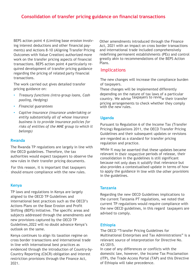## **Consolidation of transfer pricing guidance on financial transactions**

BEPS action point 4 (Limiting base erosion involving interest deductions and other financial payments) and Actions 8-10 (Aligning Transfer Pricing Outcomes with Value Creation) authorized more work on the transfer pricing aspects of financial transactions. BEPS action point 4 particularly required development of transfer pricing guidance regarding the pricing of related party financial transactions.

The work carried out gives detailed transfer pricing guidance on:

- *Treasury functions (intra-group loans, Cash pooling, Hedging)*
- *Financial guarantees*
- *Captive Insurance (insurance undertaking or entity substantially all of whose insurance business is to provide insurance policies for risks of entities of the MNE group to which it belongs)*

#### **Rwanda**

The Rwanda TP regulations are largely in line with the OECD guidelines. Therefore, the tax authorities would expect taxpayers to observe the new rules in their transfer pricing documents.

For this reason, it is important that taxpayers should ensure compliance with the new rules.

#### **Kenya**

TP laws and regulations in Kenya are largely aligned to the OECD TP Guidelines and international best practices such as the OECD's Actions Plans on the Base Erosion and Profit Shifting (BEPS) Initiative. The specific areas and subjects addressed through the amendments and new provisions captured by the OECD TP Guidelines,2022 will no doubt advance Kenya's outlook on the same.

Kenya continues to align its taxation regime on cross border transactions and international trade in line with international best practices as evidenced through the introduction of Country-by-Country Reporting (CbCR) obligation and interest restriction provisions through the Finance Act, 2021.

Other amendments introduced through the Finance Act, 2021 with an impact on cross border transactions and international trade included comprehensively redefining permanent establishments (PEs) and control greatly akin to recommendations of the BEPS Action Plans.

#### **Implications**

The new changes will increase the compliance burden of taxpayers.

These changes will be implemented differently depending on the nature of tax laws of a particular country. We advise taxpayers to revie<sub>w their transfer</sub> pricing arrangements to check whether they comply with the new rules.

#### **Uganda**

Pursuant to Regulation 6 of the Income Tax (Transfer Pricing) Regulations 2011, the OECD Transfer Pricing Guidelines and their subsequent updates or revisions are regarded as a standard for transfer pricing regulation and practice.

While it may be asserted that these updates became relevant in their respective periods of release, their consolidation in the guidelines is still significant because not only does it solidify that relevance but also provides a contextualised update in terms of how to apply the guidance in line with the other provisions in the guidelines.

#### **Tanzania**

Regarding the new OECD Guidelines implications to the current Tanzania PT regulations, we noted that current TP regulations would require compliance with the new OECD guidelines, in this regard taxpayers are advised to comply.

#### **Ethiopia**

The OECD "Transfer Pricing Guidelines for Multinational Enterprises and Tax Administrations" is a relevant source of interpretation for Directive No. 43/2015.

In case of any differences or conflicts with the domestic law, however, the Income Tax Proclamation (ITP), the Trade Access Portal (TAP) and this Directive of Ethiopia will take precedence.